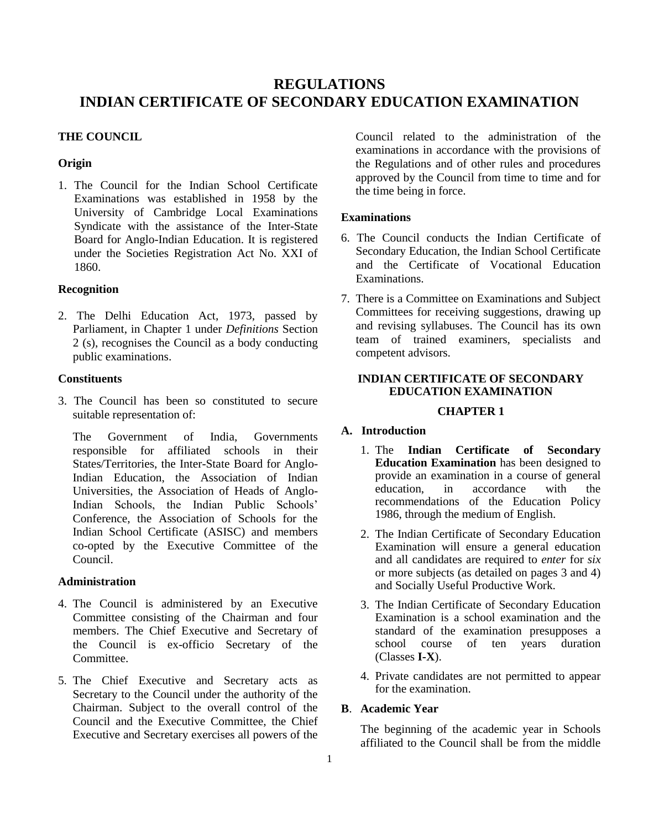# **REGULATIONS INDIAN CERTIFICATE OF SECONDARY EDUCATION EXAMINATION**

### **THE COUNCIL**

#### **Origin**

1. The Council for the Indian School Certificate Examinations was established in 1958 by the University of Cambridge Local Examinations Syndicate with the assistance of the Inter-State Board for Anglo-Indian Education. It is registered under the Societies Registration Act No. XXI of 1860.

### **Recognition**

2. The Delhi Education Act, 1973, passed by Parliament, in Chapter 1 under *Definitions* Section 2 (s), recognises the Council as a body conducting public examinations.

#### **Constituents**

3. The Council has been so constituted to secure suitable representation of:

The Government of India, Governments responsible for affiliated schools in their States/Territories, the Inter-State Board for Anglo-Indian Education, the Association of Indian Universities, the Association of Heads of Anglo-Indian Schools, the Indian Public Schools' Conference, the Association of Schools for the Indian School Certificate (ASISC) and members co-opted by the Executive Committee of the Council.

### **Administration**

- 4. The Council is administered by an Executive Committee consisting of the Chairman and four members. The Chief Executive and Secretary of the Council is ex-officio Secretary of the **Committee**
- 5. The Chief Executive and Secretary acts as Secretary to the Council under the authority of the Chairman. Subject to the overall control of the Council and the Executive Committee, the Chief Executive and Secretary exercises all powers of the

Council related to the administration of the examinations in accordance with the provisions of the Regulations and of other rules and procedures approved by the Council from time to time and for the time being in force.

### **Examinations**

- 6. The Council conducts the Indian Certificate of Secondary Education, the Indian School Certificate and the Certificate of Vocational Education Examinations.
- 7. There is a Committee on Examinations and Subject Committees for receiving suggestions, drawing up and revising syllabuses. The Council has its own team of trained examiners, specialists and competent advisors.

# **INDIAN CERTIFICATE OF SECONDARY EDUCATION EXAMINATION**

### **CHAPTER 1**

# **A. Introduction**

- 1. The **Indian Certificate of Secondary Education Examination** has been designed to provide an examination in a course of general<br>education. in accordance with the education, in accordance with the recommendations of the Education Policy 1986, through the medium of English.
- 2. The Indian Certificate of Secondary Education Examination will ensure a general education and all candidates are required to *enter* for *six* or more subjects (as detailed on pages 3 and 4) and Socially Useful Productive Work.
- 3. The Indian Certificate of Secondary Education Examination is a school examination and the standard of the examination presupposes a school course of ten years duration (Classes **I-X**).
- 4. Private candidates are not permitted to appear for the examination.

### **B**. **Academic Year**

The beginning of the academic year in Schools affiliated to the Council shall be from the middle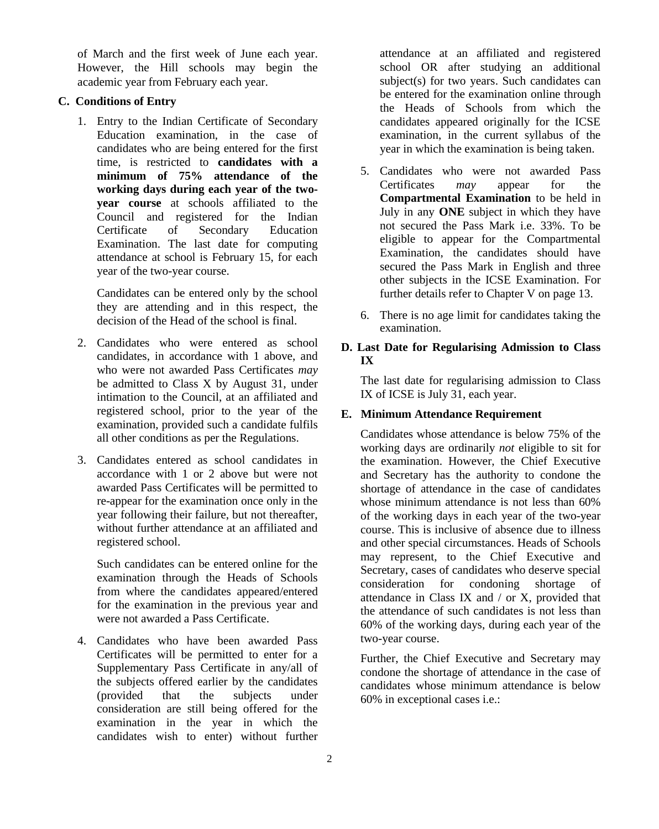of March and the first week of June each year. However, the Hill schools may begin the academic year from February each year.

# **C. Conditions of Entry**

1. Entry to the Indian Certificate of Secondary Education examination, in the case of candidates who are being entered for the first time, is restricted to **candidates with a minimum of 75% attendance of the working days during each year of the twoyear course** at schools affiliated to the Council and registered for the Indian Certificate of Secondary Education Examination. The last date for computing attendance at school is February 15, for each year of the two-year course.

Candidates can be entered only by the school they are attending and in this respect, the decision of the Head of the school is final.

- 2. Candidates who were entered as school candidates, in accordance with 1 above, and who were not awarded Pass Certificates *may* be admitted to Class X by August 31, under intimation to the Council, at an affiliated and registered school, prior to the year of the examination, provided such a candidate fulfils all other conditions as per the Regulations.
- 3. Candidates entered as school candidates in accordance with 1 or 2 above but were not awarded Pass Certificates will be permitted to re-appear for the examination once only in the year following their failure, but not thereafter, without further attendance at an affiliated and registered school.

Such candidates can be entered online for the examination through the Heads of Schools from where the candidates appeared/entered for the examination in the previous year and were not awarded a Pass Certificate.

4. Candidates who have been awarded Pass Certificates will be permitted to enter for a Supplementary Pass Certificate in any/all of the subjects offered earlier by the candidates (provided that the subjects under consideration are still being offered for the examination in the year in which the candidates wish to enter) without further attendance at an affiliated and registered school OR after studying an additional subject(s) for two years. Such candidates can be entered for the examination online through the Heads of Schools from which the candidates appeared originally for the ICSE examination, in the current syllabus of the year in which the examination is being taken.

- 5. Candidates who were not awarded Pass Certificates *may* appear for the **Compartmental Examination** to be held in July in any **ONE** subject in which they have not secured the Pass Mark i.e. 33%. To be eligible to appear for the Compartmental Examination, the candidates should have secured the Pass Mark in English and three other subjects in the ICSE Examination. For further details refer to Chapter V on page 13.
- 6. There is no age limit for candidates taking the examination.

# **D. Last Date for Regularising Admission to Class IX**

The last date for regularising admission to Class IX of ICSE is July 31, each year.

### **E. Minimum Attendance Requirement**

Candidates whose attendance is below 75% of the working days are ordinarily *not* eligible to sit for the examination. However, the Chief Executive and Secretary has the authority to condone the shortage of attendance in the case of candidates whose minimum attendance is not less than 60% of the working days in each year of the two-year course. This is inclusive of absence due to illness and other special circumstances. Heads of Schools may represent, to the Chief Executive and Secretary, cases of candidates who deserve special consideration for condoning shortage of attendance in Class IX and / or X, provided that the attendance of such candidates is not less than 60% of the working days, during each year of the two-year course.

Further, the Chief Executive and Secretary may condone the shortage of attendance in the case of candidates whose minimum attendance is below 60% in exceptional cases i.e.: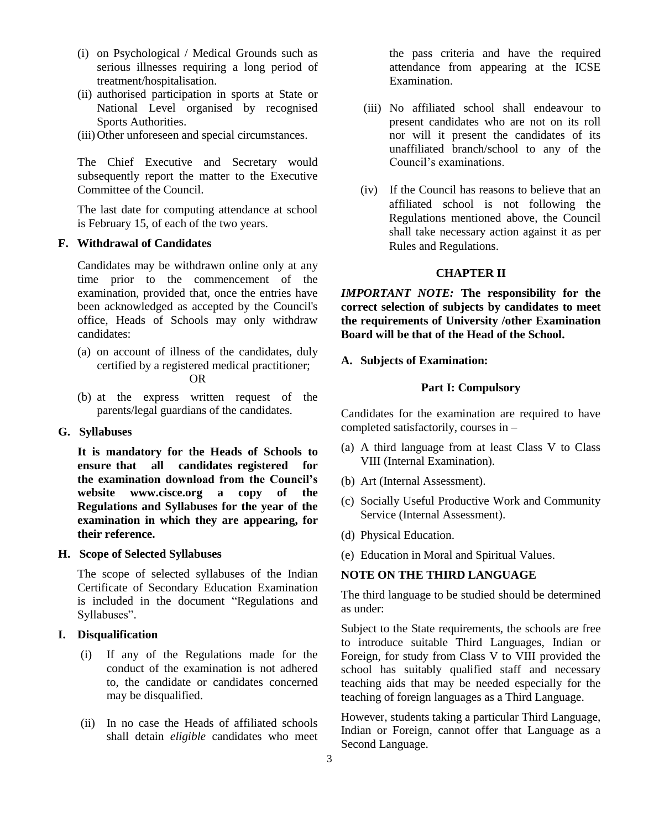- (i) on Psychological / Medical Grounds such as serious illnesses requiring a long period of treatment/hospitalisation.
- (ii) authorised participation in sports at State or National Level organised by recognised Sports Authorities.
- (iii)Other unforeseen and special circumstances.

The Chief Executive and Secretary would subsequently report the matter to the Executive Committee of the Council.

The last date for computing attendance at school is February 15, of each of the two years.

#### **F. Withdrawal of Candidates**

Candidates may be withdrawn online only at any time prior to the commencement of the examination, provided that, once the entries have been acknowledged as accepted by the Council's office, Heads of Schools may only withdraw candidates:

- (a) on account of illness of the candidates, duly certified by a registered medical practitioner; OR
	-
- (b) at the express written request of the parents/legal guardians of the candidates.

### **G. Syllabuses**

**It is mandatory for the Heads of Schools to ensure that all candidates registered for the examination download from the Council's website www.cisce.org a copy of the Regulations and Syllabuses for the year of the examination in which they are appearing, for their reference.**

### **H. Scope of Selected Syllabuses**

The scope of selected syllabuses of the Indian Certificate of Secondary Education Examination is included in the document "Regulations and Syllabuses".

### **I. Disqualification**

- (i) If any of the Regulations made for the conduct of the examination is not adhered to, the candidate or candidates concerned may be disqualified.
- (ii) In no case the Heads of affiliated schools shall detain *eligible* candidates who meet

the pass criteria and have the required attendance from appearing at the ICSE Examination.

- (iii) No affiliated school shall endeavour to present candidates who are not on its roll nor will it present the candidates of its unaffiliated branch/school to any of the Council's examinations.
- (iv) If the Council has reasons to believe that an affiliated school is not following the Regulations mentioned above, the Council shall take necessary action against it as per Rules and Regulations.

#### **CHAPTER II**

*IMPORTANT NOTE:* **The responsibility for the correct selection of subjects by candidates to meet the requirements of University /other Examination Board will be that of the Head of the School.**

#### **A. Subjects of Examination:**

#### **Part I: Compulsory**

Candidates for the examination are required to have completed satisfactorily, courses in –

- (a) A third language from at least Class V to Class VIII (Internal Examination).
- (b) Art (Internal Assessment).
- (c) Socially Useful Productive Work and Community Service (Internal Assessment).
- (d) Physical Education.
- (e) Education in Moral and Spiritual Values.

# **NOTE ON THE THIRD LANGUAGE**

The third language to be studied should be determined as under:

Subject to the State requirements, the schools are free to introduce suitable Third Languages, Indian or Foreign, for study from Class V to VIII provided the school has suitably qualified staff and necessary teaching aids that may be needed especially for the teaching of foreign languages as a Third Language.

However, students taking a particular Third Language, Indian or Foreign, cannot offer that Language as a Second Language.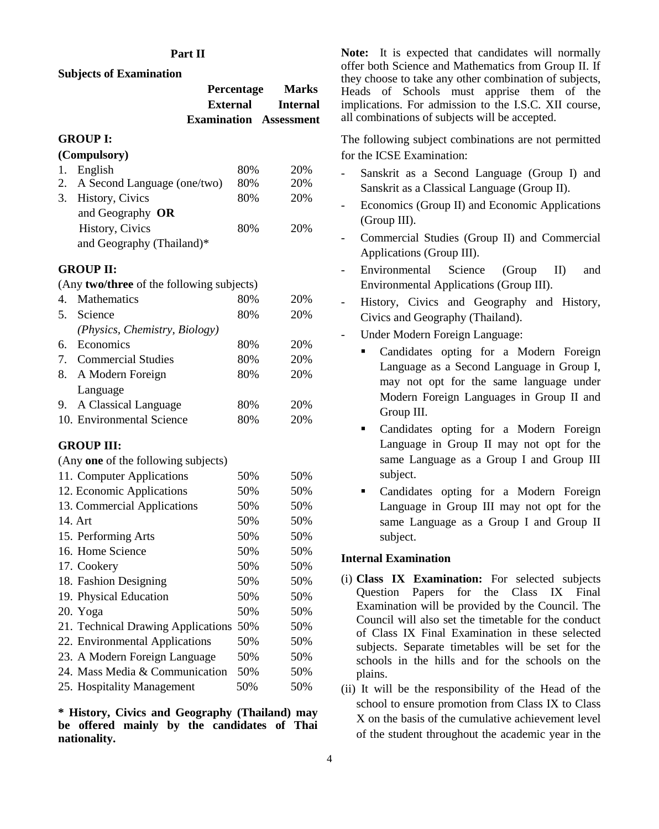### **Part II**

### **Subjects of Examination**

| <b>Percentage</b>             | <b>Marks</b>      |
|-------------------------------|-------------------|
|                               | External Internal |
| <b>Examination</b> Assessment |                   |

#### **GROUP I:**

## **(Compulsory)**

| 1. English                     | 80% | 20% |
|--------------------------------|-----|-----|
| 2. A Second Language (one/two) | 80% | 20% |
| 3. History, Civics             | 80% | 20% |
| and Geography OR               |     |     |
| History, Civics                | 80% | 20% |
| and Geography (Thailand)*      |     |     |

#### **GROUP II:**

(Any **two/three** of the following subjects)

| $\overline{4}$ .                 | Mathematics                   | 80% | 20% |
|----------------------------------|-------------------------------|-----|-----|
| .5.                              | Science                       | 80% | 20% |
|                                  | (Physics, Chemistry, Biology) |     |     |
| 6.                               | Economics                     | 80% | 20% |
| $7_{\scriptscriptstyle{\ddots}}$ | <b>Commercial Studies</b>     | 80% | 20% |
|                                  | 8. A Modern Foreign           | 80% | 20% |
|                                  | Language                      |     |     |
|                                  | 9. A Classical Language       | 80% | 20% |
|                                  | 10. Environmental Science     | 80% | 20% |

#### **GROUP III:**

(Any **one** of the following subjects)

| 11. Computer Applications              | 50% | 50% |
|----------------------------------------|-----|-----|
| 12. Economic Applications              | 50% | 50% |
| 13. Commercial Applications            | 50% | 50% |
| 14. Art                                | 50% | 50% |
| 15. Performing Arts                    | 50% | 50% |
| 16. Home Science                       | 50% | 50% |
| 17. Cookery                            | 50% | 50% |
| 18. Fashion Designing                  | 50% | 50% |
| 19. Physical Education                 | 50% | 50% |
| 20. Yoga                               | 50% | 50% |
| 21. Technical Drawing Applications 50% |     | 50% |
| 22. Environmental Applications         | 50% | 50% |
| 23. A Modern Foreign Language          | 50% | 50% |
| 24. Mass Media & Communication         | 50% | 50% |
| 25. Hospitality Management             | 50% | 50% |

**\* History, Civics and Geography (Thailand) may be offered mainly by the candidates of Thai nationality.**

**Note:** It is expected that candidates will normally offer both Science and Mathematics from Group II. If they choose to take any other combination of subjects, Heads of Schools must apprise them of the implications. For admission to the I.S.C. XII course, all combinations of subjects will be accepted.

The following subject combinations are not permitted for the ICSE Examination:

- Sanskrit as a Second Language (Group I) and Sanskrit as a Classical Language (Group II).
- Economics (Group II) and Economic Applications (Group III).
- Commercial Studies (Group II) and Commercial Applications (Group III).
- Environmental Science (Group II) and Environmental Applications (Group III).
- History, Civics and Geography and History, Civics and Geography (Thailand).
- Under Modern Foreign Language:
	- Candidates opting for a Modern Foreign Language as a Second Language in Group I, may not opt for the same language under Modern Foreign Languages in Group II and Group III.
	- Candidates opting for a Modern Foreign Language in Group II may not opt for the same Language as a Group I and Group III subject.
	- Candidates opting for a Modern Foreign Language in Group III may not opt for the same Language as a Group I and Group II subject.

### **Internal Examination**

- (i) **Class IX Examination:** For selected subjects Question Papers for the Class IX Final Examination will be provided by the Council. The Council will also set the timetable for the conduct of Class IX Final Examination in these selected subjects. Separate timetables will be set for the schools in the hills and for the schools on the plains.
- (ii) It will be the responsibility of the Head of the school to ensure promotion from Class IX to Class X on the basis of the cumulative achievement level of the student throughout the academic year in the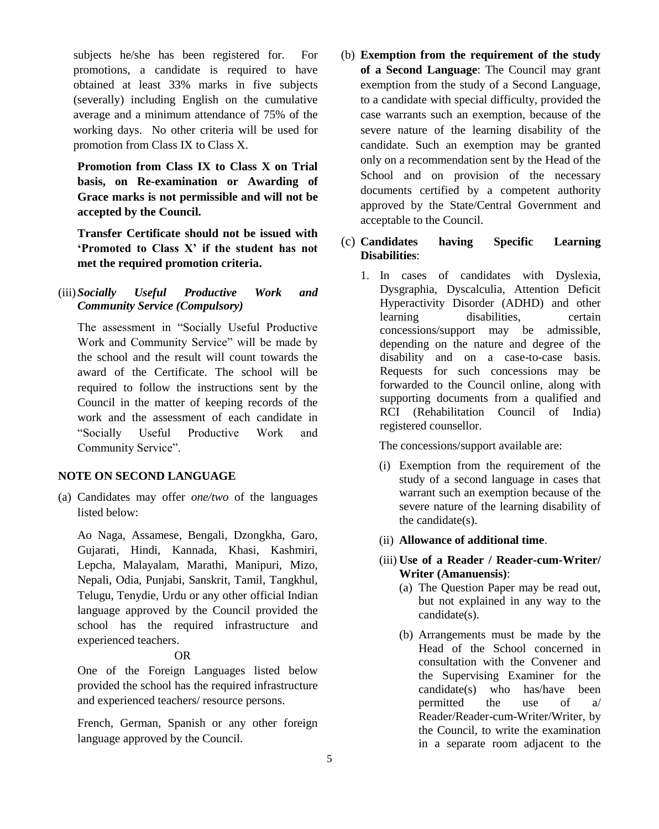subjects he/she has been registered for. For promotions, a candidate is required to have obtained at least 33% marks in five subjects (severally) including English on the cumulative average and a minimum attendance of 75% of the working days. No other criteria will be used for promotion from Class IX to Class X.

**Promotion from Class IX to Class X on Trial basis, on Re-examination or Awarding of Grace marks is not permissible and will not be accepted by the Council.** 

**Transfer Certificate should not be issued with 'Promoted to Class X' if the student has not met the required promotion criteria.**

(iii)*Socially Useful Productive Work and Community Service (Compulsory)*

The assessment in "Socially Useful Productive Work and Community Service" will be made by the school and the result will count towards the award of the Certificate. The school will be required to follow the instructions sent by the Council in the matter of keeping records of the work and the assessment of each candidate in "Socially Useful Productive Work and Community Service".

### **NOTE ON SECOND LANGUAGE**

(a) Candidates may offer *one/two* of the languages listed below:

Ao Naga, Assamese, Bengali, Dzongkha, Garo, Gujarati, Hindi, Kannada, Khasi, Kashmiri, Lepcha, Malayalam, Marathi, Manipuri, Mizo, Nepali, Odia, Punjabi, Sanskrit, Tamil, Tangkhul, Telugu, Tenydie, Urdu or any other official Indian language approved by the Council provided the school has the required infrastructure and experienced teachers.

### OR

One of the Foreign Languages listed below provided the school has the required infrastructure and experienced teachers/ resource persons.

French, German, Spanish or any other foreign language approved by the Council.

- (b) **Exemption from the requirement of the study of a Second Language**: The Council may grant exemption from the study of a Second Language, to a candidate with special difficulty, provided the case warrants such an exemption, because of the severe nature of the learning disability of the candidate. Such an exemption may be granted only on a recommendation sent by the Head of the School and on provision of the necessary documents certified by a competent authority approved by the State/Central Government and acceptable to the Council.
- (c) **Candidates having Specific Learning Disabilities**:
	- 1. In cases of candidates with Dyslexia, Dysgraphia, Dyscalculia, Attention Deficit Hyperactivity Disorder (ADHD) and other learning disabilities, certain concessions/support may be admissible, depending on the nature and degree of the disability and on a case-to-case basis. Requests for such concessions may be forwarded to the Council online, along with supporting documents from a qualified and RCI (Rehabilitation Council of India) registered counsellor.

The concessions/support available are:

- (i) Exemption from the requirement of the study of a second language in cases that warrant such an exemption because of the severe nature of the learning disability of the candidate(s).
- (ii) **Allowance of additional time**.
- (iii) **Use of a Reader / Reader-cum-Writer/ Writer (Amanuensis)**:
	- (a) The Question Paper may be read out, but not explained in any way to the candidate(s).
	- (b) Arrangements must be made by the Head of the School concerned in consultation with the Convener and the Supervising Examiner for the candidate(s) who has/have been permitted the use of a/ Reader/Reader-cum-Writer/Writer, by the Council, to write the examination in a separate room adjacent to the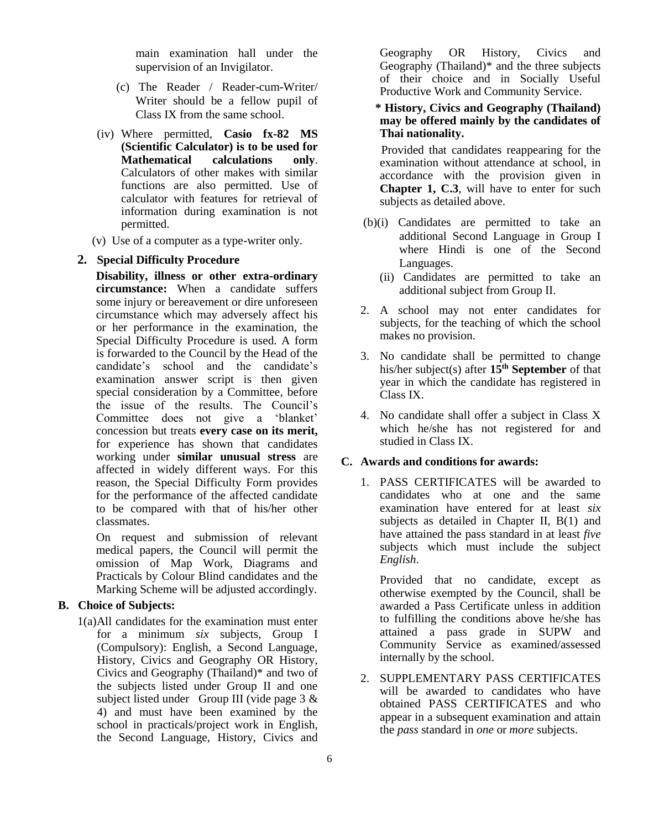main examination hall under the supervision of an Invigilator.

- (c) The Reader / Reader-cum-Writer/ Writer should be a fellow pupil of Class IX from the same school.
- (iv) Where permitted, **Casio fx-82 MS (Scientific Calculator) is to be used for Mathematical calculations only**. Calculators of other makes with similar functions are also permitted. Use of calculator with features for retrieval of information during examination is not permitted.
- (v) Use of a computer as a type-writer only.

### **2. Special Difficulty Procedure**

**Disability, illness or other extra-ordinary circumstance:** When a candidate suffers some injury or bereavement or dire unforeseen circumstance which may adversely affect his or her performance in the examination, the Special Difficulty Procedure is used. A form is forwarded to the Council by the Head of the candidate's school and the candidate's examination answer script is then given special consideration by a Committee, before the issue of the results. The Council's Committee does not give a 'blanket' concession but treats **every case on its merit,**  for experience has shown that candidates working under **similar unusual stress** are affected in widely different ways. For this reason, the Special Difficulty Form provides for the performance of the affected candidate to be compared with that of his/her other classmates.

On request and submission of relevant medical papers, the Council will permit the omission of Map Work, Diagrams and Practicals by Colour Blind candidates and the Marking Scheme will be adjusted accordingly.

# **B. Choice of Subjects:**

1(a)All candidates for the examination must enter for a minimum *six* subjects, Group I (Compulsory): English, a Second Language, History, Civics and Geography OR History, Civics and Geography (Thailand)\* and two of the subjects listed under Group II and one subject listed under Group III (vide page 3 & 4) and must have been examined by the school in practicals/project work in English, the Second Language, History, Civics and Geography OR History, Civics and Geography (Thailand)\* and the three subjects of their choice and in Socially Useful Productive Work and Community Service.

 **\* History, Civics and Geography (Thailand) may be offered mainly by the candidates of Thai nationality.**

 Provided that candidates reappearing for the examination without attendance at school, in accordance with the provision given in **Chapter 1, C.3**, will have to enter for such subjects as detailed above.

- (b)(i) Candidates are permitted to take an additional Second Language in Group I where Hindi is one of the Second Languages.
	- (ii) Candidates are permitted to take an additional subject from Group II.
- 2. A school may not enter candidates for subjects, for the teaching of which the school makes no provision.
- 3. No candidate shall be permitted to change his/her subject(s) after **15th September** of that year in which the candidate has registered in Class IX.
- 4. No candidate shall offer a subject in Class X which he/she has not registered for and studied in Class IX.

### **C. Awards and conditions for awards:**

1. PASS CERTIFICATES will be awarded to candidates who at one and the same examination have entered for at least *six* subjects as detailed in Chapter II,  $B(1)$  and have attained the pass standard in at least *five* subjects which must include the subject *English*.

Provided that no candidate, except as otherwise exempted by the Council, shall be awarded a Pass Certificate unless in addition to fulfilling the conditions above he/she has attained a pass grade in SUPW and Community Service as examined/assessed internally by the school.

2. SUPPLEMENTARY PASS CERTIFICATES will be awarded to candidates who have obtained PASS CERTIFICATES and who appear in a subsequent examination and attain the *pass* standard in *one* or *more* subjects.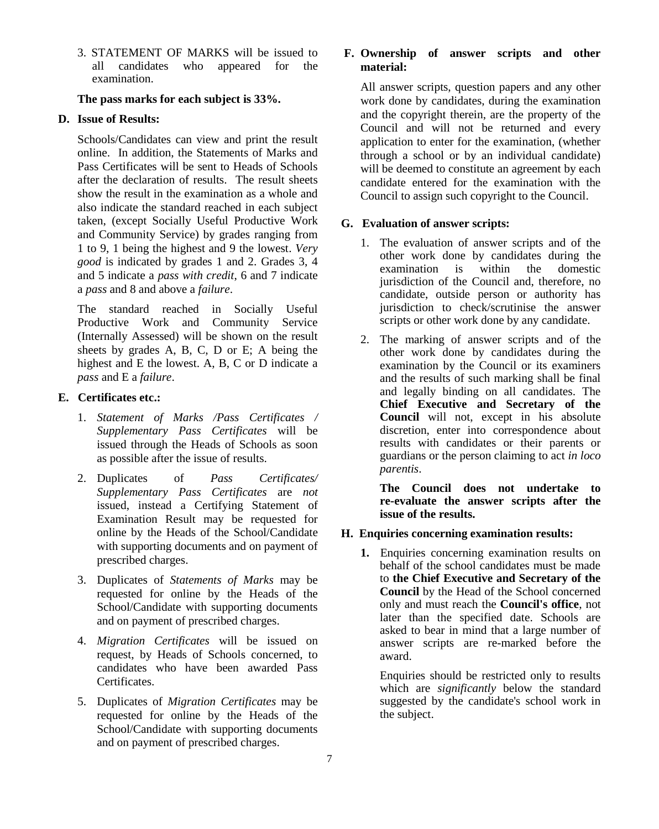3. STATEMENT OF MARKS will be issued to all candidates who appeared for the examination.

### **The pass marks for each subject is 33%.**

### **D. Issue of Results:**

Schools/Candidates can view and print the result online. In addition, the Statements of Marks and Pass Certificates will be sent to Heads of Schools after the declaration of results. The result sheets show the result in the examination as a whole and also indicate the standard reached in each subject taken, (except Socially Useful Productive Work and Community Service) by grades ranging from 1 to 9, 1 being the highest and 9 the lowest. *Very good* is indicated by grades 1 and 2. Grades 3, 4 and 5 indicate a *pass with credit*, 6 and 7 indicate a *pass* and 8 and above a *failure*.

The standard reached in Socially Useful Productive Work and Community Service (Internally Assessed) will be shown on the result sheets by grades A, B, C, D or E; A being the highest and E the lowest. A, B, C or D indicate a *pass* and E a *failure*.

### **E. Certificates etc.:**

- 1. *Statement of Marks /Pass Certificates / Supplementary Pass Certificates* will be issued through the Heads of Schools as soon as possible after the issue of results.
- 2. Duplicates of *Pass Certificates/ Supplementary Pass Certificates* are *not* issued, instead a Certifying Statement of Examination Result may be requested for online by the Heads of the School/Candidate with supporting documents and on payment of prescribed charges.
- 3. Duplicates of *Statements of Marks* may be requested for online by the Heads of the School/Candidate with supporting documents and on payment of prescribed charges.
- 4. *Migration Certificates* will be issued on request, by Heads of Schools concerned, to candidates who have been awarded Pass Certificates.
- 5. Duplicates of *Migration Certificates* may be requested for online by the Heads of the School/Candidate with supporting documents and on payment of prescribed charges.

# **F. Ownership of answer scripts and other material:**

All answer scripts, question papers and any other work done by candidates, during the examination and the copyright therein, are the property of the Council and will not be returned and every application to enter for the examination, (whether through a school or by an individual candidate) will be deemed to constitute an agreement by each candidate entered for the examination with the Council to assign such copyright to the Council.

# **G. Evaluation of answer scripts:**

- 1. The evaluation of answer scripts and of the other work done by candidates during the examination is within the domestic jurisdiction of the Council and, therefore, no candidate, outside person or authority has jurisdiction to check/scrutinise the answer scripts or other work done by any candidate.
- 2. The marking of answer scripts and of the other work done by candidates during the examination by the Council or its examiners and the results of such marking shall be final and legally binding on all candidates. The **Chief Executive and Secretary of the Council** will not, except in his absolute discretion, enter into correspondence about results with candidates or their parents or guardians or the person claiming to act *in loco parentis*.

**The Council does not undertake to re-evaluate the answer scripts after the issue of the results.**

### **H. Enquiries concerning examination results:**

**1.** Enquiries concerning examination results on behalf of the school candidates must be made to **the Chief Executive and Secretary of the Council** by the Head of the School concerned only and must reach the **Council's office**, not later than the specified date. Schools are asked to bear in mind that a large number of answer scripts are re-marked before the award.

Enquiries should be restricted only to results which are *significantly* below the standard suggested by the candidate's school work in the subject.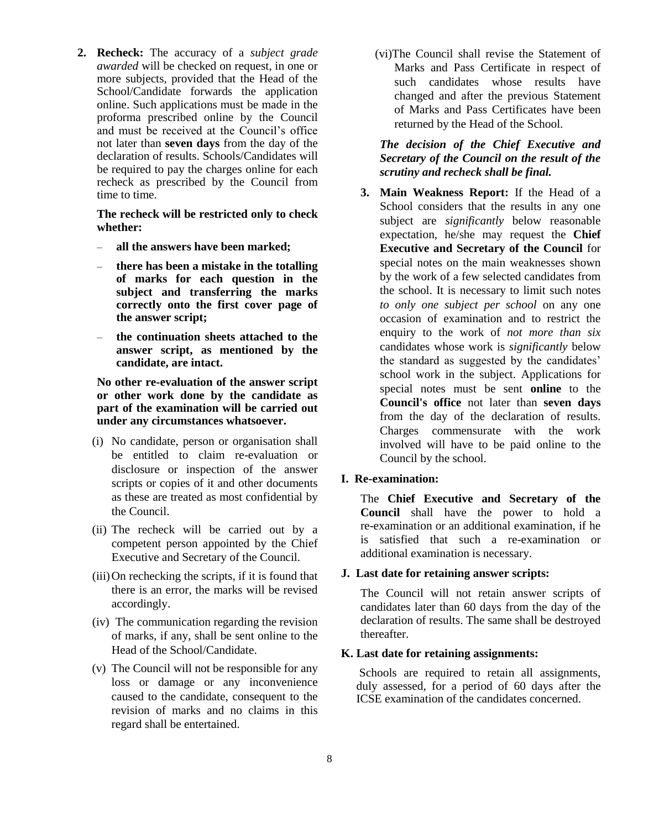**2. Recheck:** The accuracy of a *subject grade awarded* will be checked on request, in one or more subjects, provided that the Head of the School/Candidate forwards the application online. Such applications must be made in the proforma prescribed online by the Council and must be received at the Council's office not later than **seven days** from the day of the declaration of results. Schools/Candidates will be required to pay the charges online for each recheck as prescribed by the Council from time to time.

**The recheck will be restricted only to check whether:** 

- **all the answers have been marked;**
- **there has been a mistake in the totalling of marks for each question in the subject and transferring the marks correctly onto the first cover page of the answer script;**
- **the continuation sheets attached to the answer script, as mentioned by the candidate, are intact.**

**No other re-evaluation of the answer script or other work done by the candidate as part of the examination will be carried out under any circumstances whatsoever.**

- (i) No candidate, person or organisation shall be entitled to claim re-evaluation or disclosure or inspection of the answer scripts or copies of it and other documents as these are treated as most confidential by the Council.
- (ii) The recheck will be carried out by a competent person appointed by the Chief Executive and Secretary of the Council.
- (iii)On rechecking the scripts, if it is found that there is an error, the marks will be revised accordingly.
- (iv) The communication regarding the revision of marks, if any, shall be sent online to the Head of the School/Candidate.
- (v) The Council will not be responsible for any loss or damage or any inconvenience caused to the candidate, consequent to the revision of marks and no claims in this regard shall be entertained.

(vi)The Council shall revise the Statement of Marks and Pass Certificate in respect of such candidates whose results have changed and after the previous Statement of Marks and Pass Certificates have been returned by the Head of the School.

*The decision of the Chief Executive and Secretary of the Council on the result of the scrutiny and recheck shall be final.*

**3. Main Weakness Report:** If the Head of a School considers that the results in any one subject are *significantly* below reasonable expectation, he/she may request the **Chief Executive and Secretary of the Council** for special notes on the main weaknesses shown by the work of a few selected candidates from the school. It is necessary to limit such notes *to only one subject per school* on any one occasion of examination and to restrict the enquiry to the work of *not more than six* candidates whose work is *significantly* below the standard as suggested by the candidates' school work in the subject. Applications for special notes must be sent **online** to the **Council's office** not later than **seven days** from the day of the declaration of results. Charges commensurate with the work involved will have to be paid online to the Council by the school.

### **I. Re-examination:**

The **Chief Executive and Secretary of the Council** shall have the power to hold a re-examination or an additional examination, if he is satisfied that such a re-examination or additional examination is necessary.

### **J. Last date for retaining answer scripts:**

The Council will not retain answer scripts of candidates later than 60 days from the day of the declaration of results. The same shall be destroyed thereafter.

### **K. Last date for retaining assignments:**

Schools are required to retain all assignments, duly assessed, for a period of 60 days after the ICSE examination of the candidates concerned.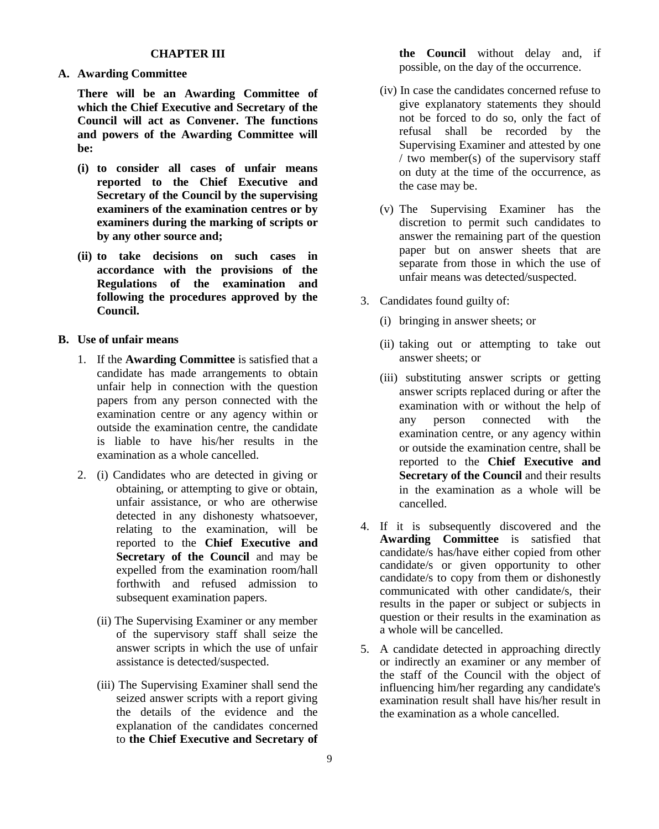### **CHAPTER III**

**A. Awarding Committee**

**There will be an Awarding Committee of which the Chief Executive and Secretary of the Council will act as Convener. The functions and powers of the Awarding Committee will be:**

- **(i) to consider all cases of unfair means reported to the Chief Executive and Secretary of the Council by the supervising examiners of the examination centres or by examiners during the marking of scripts or by any other source and;**
- **(ii) to take decisions on such cases in accordance with the provisions of the Regulations of the examination and following the procedures approved by the Council.**

## **B. Use of unfair means**

- 1. If the **Awarding Committee** is satisfied that a candidate has made arrangements to obtain unfair help in connection with the question papers from any person connected with the examination centre or any agency within or outside the examination centre, the candidate is liable to have his/her results in the examination as a whole cancelled.
- 2. (i) Candidates who are detected in giving or obtaining, or attempting to give or obtain, unfair assistance, or who are otherwise detected in any dishonesty whatsoever, relating to the examination, will be reported to the **Chief Executive and Secretary of the Council** and may be expelled from the examination room/hall forthwith and refused admission to subsequent examination papers.
	- (ii) The Supervising Examiner or any member of the supervisory staff shall seize the answer scripts in which the use of unfair assistance is detected/suspected.
	- (iii) The Supervising Examiner shall send the seized answer scripts with a report giving the details of the evidence and the explanation of the candidates concerned to **the Chief Executive and Secretary of**

**the Council** without delay and, if possible, on the day of the occurrence.

- (iv) In case the candidates concerned refuse to give explanatory statements they should not be forced to do so, only the fact of refusal shall be recorded by the Supervising Examiner and attested by one / two member(s) of the supervisory staff on duty at the time of the occurrence, as the case may be.
- (v) The Supervising Examiner has the discretion to permit such candidates to answer the remaining part of the question paper but on answer sheets that are separate from those in which the use of unfair means was detected/suspected.
- 3. Candidates found guilty of:
	- (i) bringing in answer sheets; or
	- (ii) taking out or attempting to take out answer sheets; or
	- (iii) substituting answer scripts or getting answer scripts replaced during or after the examination with or without the help of any person connected with the examination centre, or any agency within or outside the examination centre, shall be reported to the **Chief Executive and Secretary of the Council** and their results in the examination as a whole will be cancelled.
- 4. If it is subsequently discovered and the **Awarding Committee** is satisfied that candidate/s has/have either copied from other candidate/s or given opportunity to other candidate/s to copy from them or dishonestly communicated with other candidate/s, their results in the paper or subject or subjects in question or their results in the examination as a whole will be cancelled.
- 5. A candidate detected in approaching directly or indirectly an examiner or any member of the staff of the Council with the object of influencing him/her regarding any candidate's examination result shall have his/her result in the examination as a whole cancelled.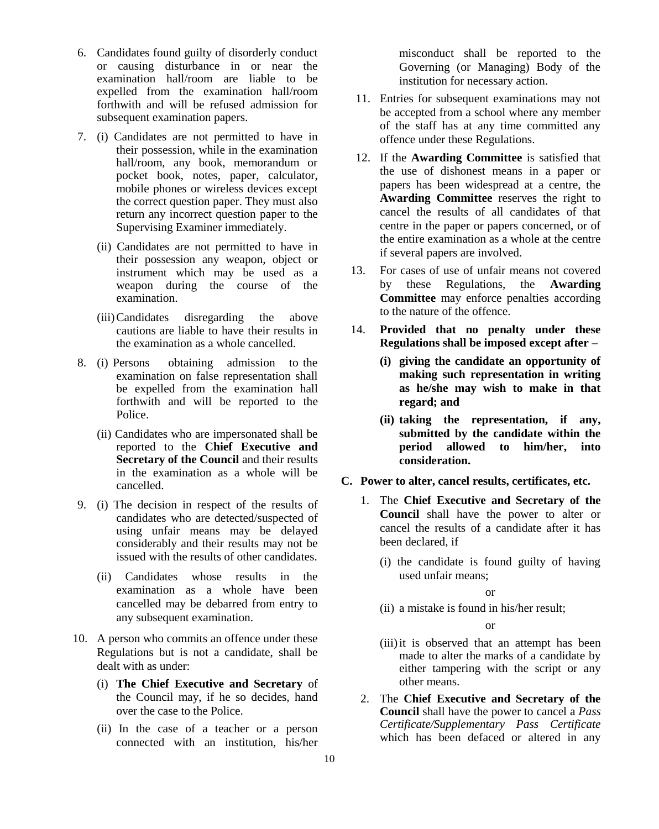- 6. Candidates found guilty of disorderly conduct or causing disturbance in or near the examination hall/room are liable to be expelled from the examination hall/room forthwith and will be refused admission for subsequent examination papers.
- 7. (i) Candidates are not permitted to have in their possession, while in the examination hall/room, any book, memorandum or pocket book, notes, paper, calculator, mobile phones or wireless devices except the correct question paper. They must also return any incorrect question paper to the Supervising Examiner immediately.
	- (ii) Candidates are not permitted to have in their possession any weapon, object or instrument which may be used as a weapon during the course of the examination.
	- (iii)Candidates disregarding the above cautions are liable to have their results in the examination as a whole cancelled.
- 8. (i) Persons obtaining admission to the examination on false representation shall be expelled from the examination hall forthwith and will be reported to the Police.
	- (ii) Candidates who are impersonated shall be reported to the **Chief Executive and Secretary of the Council** and their results in the examination as a whole will be cancelled.
- 9. (i) The decision in respect of the results of candidates who are detected/suspected of using unfair means may be delayed considerably and their results may not be issued with the results of other candidates.
	- (ii) Candidates whose results in the examination as a whole have been cancelled may be debarred from entry to any subsequent examination.
- 10. A person who commits an offence under these Regulations but is not a candidate, shall be dealt with as under:
	- (i) **The Chief Executive and Secretary** of the Council may, if he so decides, hand over the case to the Police.
	- (ii) In the case of a teacher or a person connected with an institution, his/her

misconduct shall be reported to the Governing (or Managing) Body of the institution for necessary action.

- 11. Entries for subsequent examinations may not be accepted from a school where any member of the staff has at any time committed any offence under these Regulations.
- 12. If the **Awarding Committee** is satisfied that the use of dishonest means in a paper or papers has been widespread at a centre, the **Awarding Committee** reserves the right to cancel the results of all candidates of that centre in the paper or papers concerned, or of the entire examination as a whole at the centre if several papers are involved.
- 13. For cases of use of unfair means not covered by these Regulations, the **Awarding Committee** may enforce penalties according to the nature of the offence.
- 14. **Provided that no penalty under these Regulations shall be imposed except after –**
	- **(i) giving the candidate an opportunity of making such representation in writing as he/she may wish to make in that regard; and**
	- **(ii) taking the representation, if any, submitted by the candidate within the period allowed to him/her, into consideration.**
- **C. Power to alter, cancel results, certificates, etc.**
	- 1. The **Chief Executive and Secretary of the Council** shall have the power to alter or cancel the results of a candidate after it has been declared, if
		- (i) the candidate is found guilty of having used unfair means;

or

(ii) a mistake is found in his/her result;

or

- (iii)it is observed that an attempt has been made to alter the marks of a candidate by either tampering with the script or any other means.
- 2. The **Chief Executive and Secretary of the Council** shall have the power to cancel a *Pass Certificate/Supplementary Pass Certificate* which has been defaced or altered in any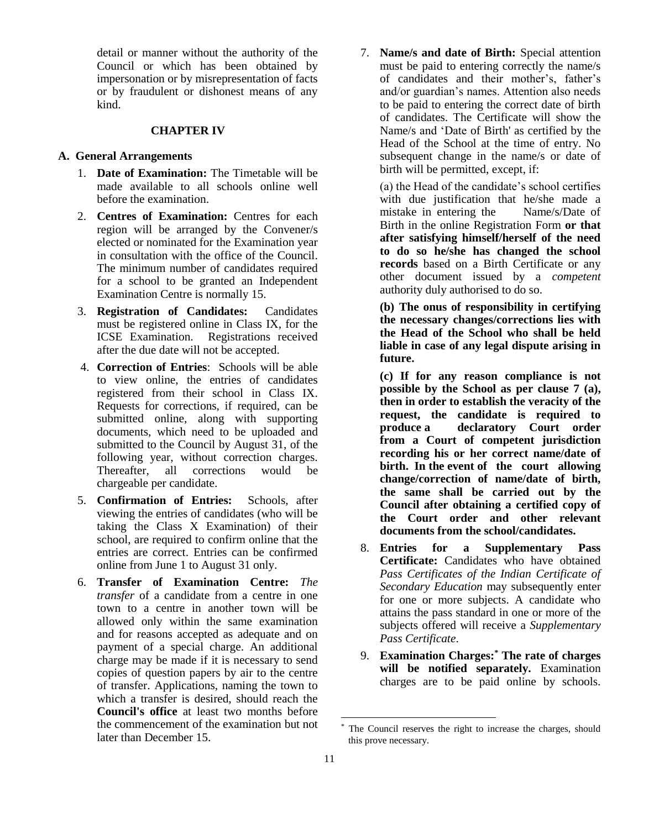detail or manner without the authority of the Council or which has been obtained by impersonation or by misrepresentation of facts or by fraudulent or dishonest means of any kind.

#### **CHAPTER IV**

#### **A. General Arrangements**

- 1. **Date of Examination:** The Timetable will be made available to all schools online well before the examination.
- 2. **Centres of Examination:** Centres for each region will be arranged by the Convener/s elected or nominated for the Examination year in consultation with the office of the Council. The minimum number of candidates required for a school to be granted an Independent Examination Centre is normally 15.
- 3. **Registration of Candidates:** Candidates must be registered online in Class IX, for the ICSE Examination. Registrations received after the due date will not be accepted.
- 4. **Correction of Entries**: Schools will be able to view online, the entries of candidates registered from their school in Class IX. Requests for corrections, if required, can be submitted online, along with supporting documents, which need to be uploaded and submitted to the Council by August 31, of the following year, without correction charges. Thereafter, all corrections would be chargeable per candidate.
- 5. **Confirmation of Entries:** Schools, after viewing the entries of candidates (who will be taking the Class X Examination) of their school, are required to confirm online that the entries are correct. Entries can be confirmed online from June 1 to August 31 only.
- 6. **Transfer of Examination Centre:** *The transfer* of a candidate from a centre in one town to a centre in another town will be allowed only within the same examination and for reasons accepted as adequate and on payment of a special charge. An additional charge may be made if it is necessary to send copies of question papers by air to the centre of transfer. Applications, naming the town to which a transfer is desired, should reach the **Council's office** at least two months before the commencement of the examination but not later than December 15.

7. **Name/s and date of Birth:** Special attention must be paid to entering correctly the name/s of candidates and their mother's, father's and/or guardian's names. Attention also needs to be paid to entering the correct date of birth of candidates. The Certificate will show the Name/s and 'Date of Birth' as certified by the Head of the School at the time of entry. No subsequent change in the name/s or date of birth will be permitted, except, if:

(a) the Head of the candidate's school certifies with due justification that he/she made a mistake in entering the Name/s/Date of Birth in the online Registration Form **or that after satisfying himself/herself of the need to do so he/she has changed the school records** based on a Birth Certificate or any other document issued by a *competent* authority duly authorised to do so.

**(b) The onus of responsibility in certifying the necessary changes/corrections lies with the Head of the School who shall be held liable in case of any legal dispute arising in future.**

**(c) If for any reason compliance is not possible by the School as per clause 7 (a), then in order to establish the veracity of the request, the candidate is required to produce a declaratory Court order from a Court of competent jurisdiction recording his or her correct name/date of birth. In the event of the court allowing change/correction of name/date of birth, the same shall be carried out by the Council after obtaining a certified copy of the Court order and other relevant documents from the school/candidates.**

- 8. **Entries for a Supplementary Pass Certificate:** Candidates who have obtained *Pass Certificates of the Indian Certificate of Secondary Education* may subsequently enter for one or more subjects. A candidate who attains the pass standard in one or more of the subjects offered will receive a *Supplementary Pass Certificate*.
- 9. **Examination Charges:\* The rate of charges will be notified separately.** Examination charges are to be paid online by schools.

1

The Council reserves the right to increase the charges, should this prove necessary.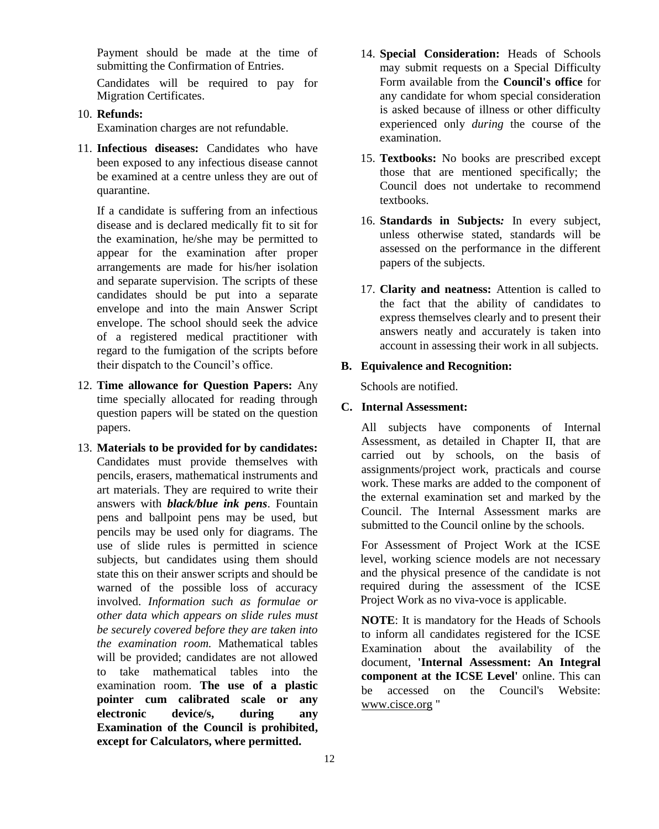Payment should be made at the time of submitting the Confirmation of Entries.

Candidates will be required to pay for Migration Certificates.

10. **Refunds:**

Examination charges are not refundable.

11. **Infectious diseases:** Candidates who have been exposed to any infectious disease cannot be examined at a centre unless they are out of quarantine.

If a candidate is suffering from an infectious disease and is declared medically fit to sit for the examination, he/she may be permitted to appear for the examination after proper arrangements are made for his/her isolation and separate supervision. The scripts of these candidates should be put into a separate envelope and into the main Answer Script envelope. The school should seek the advice of a registered medical practitioner with regard to the fumigation of the scripts before their dispatch to the Council's office.

- 12. **Time allowance for Question Papers:** Any time specially allocated for reading through question papers will be stated on the question papers.
- 13. **Materials to be provided for by candidates:** Candidates must provide themselves with pencils, erasers, mathematical instruments and art materials. They are required to write their answers with *black/blue ink pens*. Fountain pens and ballpoint pens may be used, but pencils may be used only for diagrams. The use of slide rules is permitted in science subjects, but candidates using them should state this on their answer scripts and should be warned of the possible loss of accuracy involved. *Information such as formulae or other data which appears on slide rules must be securely covered before they are taken into the examination room.* Mathematical tables will be provided; candidates are not allowed to take mathematical tables into the examination room. **The use of a plastic pointer cum calibrated scale or any electronic device/s, during any Examination of the Council is prohibited, except for Calculators, where permitted.**
- 14. **Special Consideration:** Heads of Schools may submit requests on a Special Difficulty Form available from the **Council's office** for any candidate for whom special consideration is asked because of illness or other difficulty experienced only *during* the course of the examination.
- 15. **Textbooks:** No books are prescribed except those that are mentioned specifically; the Council does not undertake to recommend textbooks.
- 16. **Standards in Subjects***:* In every subject, unless otherwise stated, standards will be assessed on the performance in the different papers of the subjects.
- 17. **Clarity and neatness:** Attention is called to the fact that the ability of candidates to express themselves clearly and to present their answers neatly and accurately is taken into account in assessing their work in all subjects.

#### **B. Equivalence and Recognition:**

Schools are notified.

### **C. Internal Assessment:**

All subjects have components of Internal Assessment, as detailed in Chapter II, that are carried out by schools, on the basis of assignments/project work, practicals and course work. These marks are added to the component of the external examination set and marked by the Council. The Internal Assessment marks are submitted to the Council online by the schools.

For Assessment of Project Work at the ICSE level, working science models are not necessary and the physical presence of the candidate is not required during the assessment of the ICSE Project Work as no viva-voce is applicable.

**NOTE**: It is mandatory for the Heads of Schools to inform all candidates registered for the ICSE Examination about the availability of the document, **'Internal Assessment: An Integral component at the ICSE Level'** online. This can be accessed on the Council's Website: [www.cisce.org](http://www.cisce.org/) "